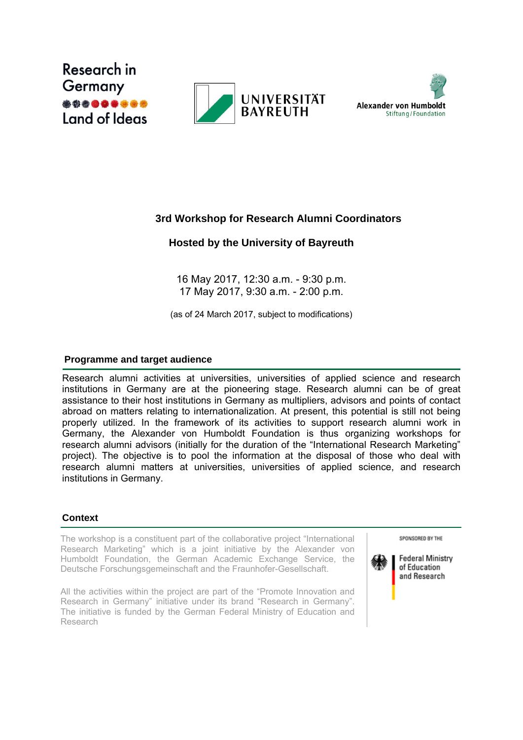





# **3rd Workshop for Research Alumni Coordinators**

# **Hosted by the University of Bayreuth**

16 May 2017, 12:30 a.m. - 9:30 p.m. 17 May 2017, 9:30 a.m. - 2:00 p.m.

(as of 24 March 2017, subject to modifications)

## **Programme and target audience**

Research alumni activities at universities, universities of applied science and research institutions in Germany are at the pioneering stage. Research alumni can be of great assistance to their host institutions in Germany as multipliers, advisors and points of contact abroad on matters relating to internationalization. At present, this potential is still not being properly utilized. In the framework of its activities to support research alumni work in Germany, the Alexander von Humboldt Foundation is thus organizing workshops for research alumni advisors (initially for the duration of the "International Research Marketing" project). The objective is to pool the information at the disposal of those who deal with research alumni matters at universities, universities of applied science, and research institutions in Germany.

## **Context**

The workshop is a constituent part of the collaborative project "International Research Marketing" which is a joint initiative by the Alexander von Humboldt Foundation, the German Academic Exchange Service, the Deutsche Forschungsgemeinschaft and the Fraunhofer-Gesellschaft.

All the activities within the project are part of the "Promote Innovation and Research in Germany" initiative under its brand "Research in Germany". The initiative is funded by the German Federal Ministry of Education and Research

SPONSORED BY THE



**Federal Ministry** of Education and Research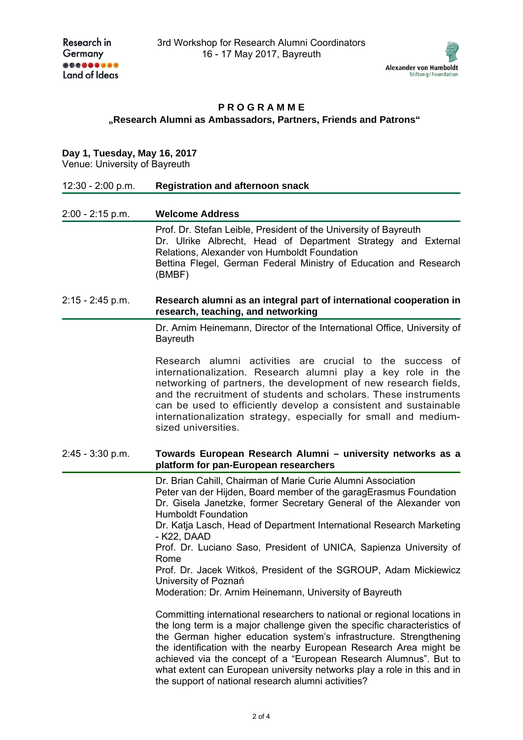

### **P R O G R A M M E "Research Alumni as Ambassadors, Partners, Friends and Patrons"**

## **Day 1, Tuesday, May 16, 2017**

Venue: University of Bayreuth

| 12:30 - 2:00 p.m.  | <b>Registration and afternoon snack</b>                                                                                                                                                                                                                                                                                                                                                                                                                                                                                                                           |
|--------------------|-------------------------------------------------------------------------------------------------------------------------------------------------------------------------------------------------------------------------------------------------------------------------------------------------------------------------------------------------------------------------------------------------------------------------------------------------------------------------------------------------------------------------------------------------------------------|
| $2:00 - 2:15$ p.m. | <b>Welcome Address</b>                                                                                                                                                                                                                                                                                                                                                                                                                                                                                                                                            |
|                    | Prof. Dr. Stefan Leible, President of the University of Bayreuth<br>Dr. Ulrike Albrecht, Head of Department Strategy and External<br>Relations, Alexander von Humboldt Foundation<br>Bettina Flegel, German Federal Ministry of Education and Research<br>(BMBF)                                                                                                                                                                                                                                                                                                  |
| $2:15 - 2:45$ p.m. | Research alumni as an integral part of international cooperation in<br>research, teaching, and networking                                                                                                                                                                                                                                                                                                                                                                                                                                                         |
|                    | Dr. Arnim Heinemann, Director of the International Office, University of<br><b>Bayreuth</b>                                                                                                                                                                                                                                                                                                                                                                                                                                                                       |
|                    | Research alumni activities are crucial to the<br>success of<br>internationalization. Research alumni play a key role in the<br>networking of partners, the development of new research fields,<br>and the recruitment of students and scholars. These instruments<br>can be used to efficiently develop a consistent and sustainable<br>internationalization strategy, especially for small and medium-<br>sized universities.                                                                                                                                    |
| $2:45 - 3:30$ p.m. | Towards European Research Alumni - university networks as a<br>platform for pan-European researchers                                                                                                                                                                                                                                                                                                                                                                                                                                                              |
|                    | Dr. Brian Cahill, Chairman of Marie Curie Alumni Association<br>Peter van der Hijden, Board member of the garagErasmus Foundation<br>Dr. Gisela Janetzke, former Secretary General of the Alexander von<br><b>Humboldt Foundation</b><br>Dr. Katja Lasch, Head of Department International Research Marketing<br>- K22, DAAD<br>Prof. Dr. Luciano Saso, President of UNICA, Sapienza University of<br>Rome<br>Prof. Dr. Jacek Witkoś, President of the SGROUP, Adam Mickiewicz<br>University of Poznań<br>Moderation: Dr. Arnim Heinemann, University of Bayreuth |
|                    | Committing international researchers to national or regional locations in<br>the long term is a major challenge given the specific characteristics of<br>the German higher education system's infrastructure. Strengthening<br>the identification with the nearby European Research Area might be<br>achieved via the concept of a "European Research Alumnus". But to<br>what extent can European university networks play a role in this and in<br>the support of national research alumni activities?                                                          |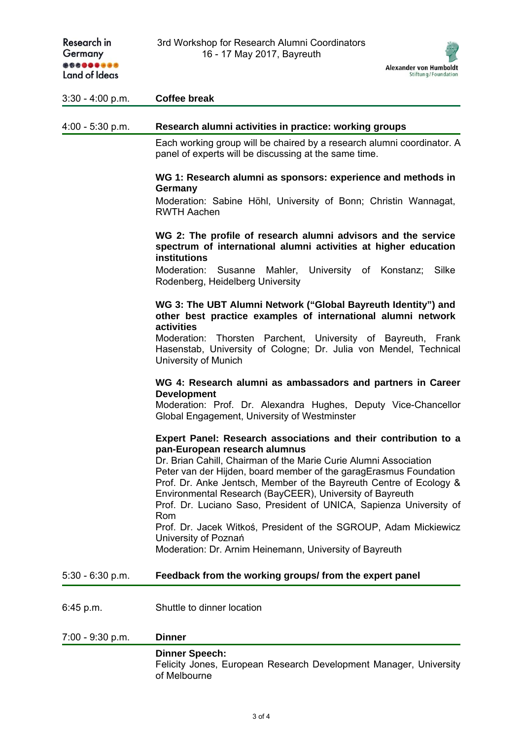| Research in<br>Germany<br>*********<br><b>Land of Ideas</b> | 3rd Workshop for Research Alumni Coordinators<br>16 - 17 May 2017, Bayreuth<br><b>Alexander von Humboldt</b><br>Stiftung/Foundation                                                                                                                                                                                                                                                                                                                                                                                                                                                                             |
|-------------------------------------------------------------|-----------------------------------------------------------------------------------------------------------------------------------------------------------------------------------------------------------------------------------------------------------------------------------------------------------------------------------------------------------------------------------------------------------------------------------------------------------------------------------------------------------------------------------------------------------------------------------------------------------------|
| $3:30 - 4:00 p.m.$                                          | <b>Coffee break</b>                                                                                                                                                                                                                                                                                                                                                                                                                                                                                                                                                                                             |
| $4:00 - 5:30$ p.m.                                          | Research alumni activities in practice: working groups                                                                                                                                                                                                                                                                                                                                                                                                                                                                                                                                                          |
|                                                             | Each working group will be chaired by a research alumni coordinator. A<br>panel of experts will be discussing at the same time.                                                                                                                                                                                                                                                                                                                                                                                                                                                                                 |
|                                                             | WG 1: Research alumni as sponsors: experience and methods in<br>Germany<br>Moderation: Sabine Höhl, University of Bonn; Christin Wannagat,<br><b>RWTH Aachen</b>                                                                                                                                                                                                                                                                                                                                                                                                                                                |
|                                                             | WG 2: The profile of research alumni advisors and the service<br>spectrum of international alumni activities at higher education<br><b>institutions</b>                                                                                                                                                                                                                                                                                                                                                                                                                                                         |
|                                                             | University of<br>Moderation:<br>Susanne<br>Mahler,<br>Silke<br>Konstanz;<br>Rodenberg, Heidelberg University                                                                                                                                                                                                                                                                                                                                                                                                                                                                                                    |
|                                                             | WG 3: The UBT Alumni Network ("Global Bayreuth Identity") and<br>other best practice examples of international alumni network<br>activities                                                                                                                                                                                                                                                                                                                                                                                                                                                                     |
|                                                             | Moderation: Thorsten Parchent, University of Bayreuth, Frank<br>Hasenstab, University of Cologne; Dr. Julia von Mendel, Technical<br>University of Munich                                                                                                                                                                                                                                                                                                                                                                                                                                                       |
|                                                             | WG 4: Research alumni as ambassadors and partners in Career<br><b>Development</b><br>Moderation: Prof. Dr. Alexandra Hughes, Deputy Vice-Chancellor<br>Global Engagement, University of Westminster                                                                                                                                                                                                                                                                                                                                                                                                             |
|                                                             | Expert Panel: Research associations and their contribution to a<br>pan-European research alumnus<br>Dr. Brian Cahill, Chairman of the Marie Curie Alumni Association<br>Peter van der Hijden, board member of the garagErasmus Foundation<br>Prof. Dr. Anke Jentsch, Member of the Bayreuth Centre of Ecology &<br>Environmental Research (BayCEER), University of Bayreuth<br>Prof. Dr. Luciano Saso, President of UNICA, Sapienza University of<br>Rom<br>Prof. Dr. Jacek Witkoś, President of the SGROUP, Adam Mickiewicz<br>University of Poznań<br>Moderation: Dr. Arnim Heinemann, University of Bayreuth |
| $5:30 - 6:30$ p.m.                                          | Feedback from the working groups/from the expert panel                                                                                                                                                                                                                                                                                                                                                                                                                                                                                                                                                          |
| 6:45 p.m.                                                   | Shuttle to dinner location                                                                                                                                                                                                                                                                                                                                                                                                                                                                                                                                                                                      |
| 7:00 - 9:30 p.m.                                            | <b>Dinner</b>                                                                                                                                                                                                                                                                                                                                                                                                                                                                                                                                                                                                   |
|                                                             | <b>Dinner Speech:</b><br>Felicity Jones, European Research Development Manager, University<br>of Melbourne                                                                                                                                                                                                                                                                                                                                                                                                                                                                                                      |